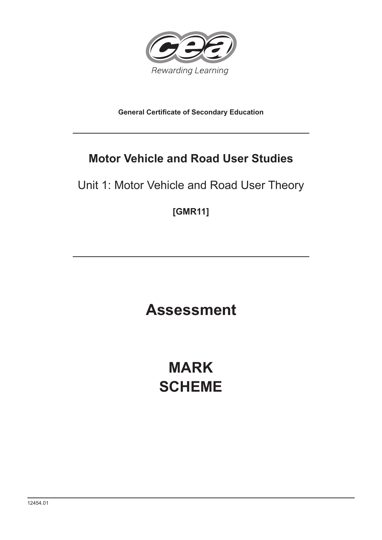

**General Certificate of Secondary Education**

# **Motor Vehicle and Road User Studies**

Unit 1: Motor Vehicle and Road User Theory

**[GMR11]**

**Assessment**

**MARK SCHEME**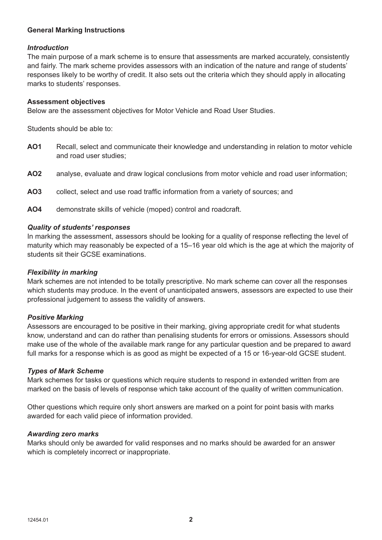# **General Marking Instructions**

## *Introduction*

The main purpose of a mark scheme is to ensure that assessments are marked accurately, consistently and fairly. The mark scheme provides assessors with an indication of the nature and range of students' responses likely to be worthy of credit. It also sets out the criteria which they should apply in allocating marks to students' responses.

## **Assessment objectives**

Below are the assessment objectives for Motor Vehicle and Road User Studies.

Students should be able to:

- **AO1** Recall, select and communicate their knowledge and understanding in relation to motor vehicle and road user studies;
- **AO2** analyse, evaluate and draw logical conclusions from motor vehicle and road user information;
- **AO3** collect, select and use road traffic information from a variety of sources; and
- **AO4** demonstrate skills of vehicle (moped) control and roadcraft.

## *Quality of students' responses*

In marking the assessment, assessors should be looking for a quality of response reflecting the level of maturity which may reasonably be expected of a 15–16 year old which is the age at which the majority of students sit their GCSE examinations.

#### *Flexibility in marking*

Mark schemes are not intended to be totally prescriptive. No mark scheme can cover all the responses which students may produce. In the event of unanticipated answers, assessors are expected to use their professional judgement to assess the validity of answers.

#### *Positive Marking*

Assessors are encouraged to be positive in their marking, giving appropriate credit for what students know, understand and can do rather than penalising students for errors or omissions. Assessors should make use of the whole of the available mark range for any particular question and be prepared to award full marks for a response which is as good as might be expected of a 15 or 16-year-old GCSE student.

#### *Types of Mark Scheme*

Mark schemes for tasks or questions which require students to respond in extended written from are marked on the basis of levels of response which take account of the quality of written communication.

Other questions which require only short answers are marked on a point for point basis with marks awarded for each valid piece of information provided.

#### *Awarding zero marks*

Marks should only be awarded for valid responses and no marks should be awarded for an answer which is completely incorrect or inappropriate.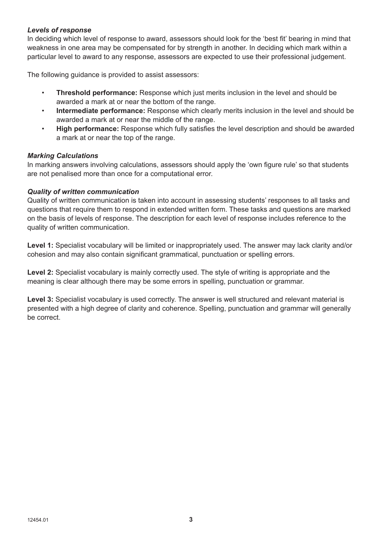# *Levels of response*

In deciding which level of response to award, assessors should look for the 'best fit' bearing in mind that weakness in one area may be compensated for by strength in another. In deciding which mark within a particular level to award to any response, assessors are expected to use their professional judgement.

The following guidance is provided to assist assessors:

- **Threshold performance:** Response which just merits inclusion in the level and should be awarded a mark at or near the bottom of the range.
- **Intermediate performance:** Response which clearly merits inclusion in the level and should be awarded a mark at or near the middle of the range.
- **High performance:** Response which fully satisfies the level description and should be awarded a mark at or near the top of the range.

## *Marking Calculations*

In marking answers involving calculations, assessors should apply the 'own figure rule' so that students are not penalised more than once for a computational error.

## *Quality of written communication*

Quality of written communication is taken into account in assessing students' responses to all tasks and questions that require them to respond in extended written form. These tasks and questions are marked on the basis of levels of response. The description for each level of response includes reference to the quality of written communication.

**Level 1:** Specialist vocabulary will be limited or inappropriately used. The answer may lack clarity and/or cohesion and may also contain significant grammatical, punctuation or spelling errors.

Level 2: Specialist vocabulary is mainly correctly used. The style of writing is appropriate and the meaning is clear although there may be some errors in spelling, punctuation or grammar.

Level 3: Specialist vocabulary is used correctly. The answer is well structured and relevant material is presented with a high degree of clarity and coherence. Spelling, punctuation and grammar will generally be correct.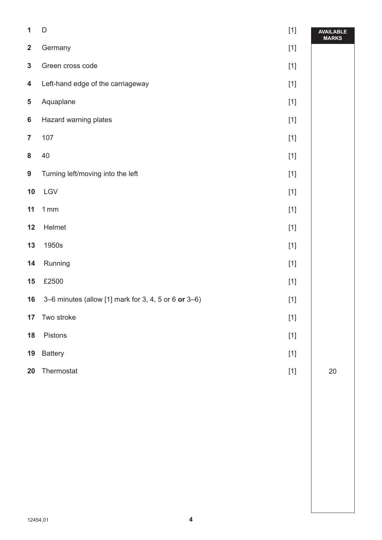| $\mathbf{1}$            | $\mathsf{D}%$                                        | $[1]$ | <b>AVAILABLE</b><br><b>MARKS</b> |
|-------------------------|------------------------------------------------------|-------|----------------------------------|
| $\mathbf{2}$            | Germany                                              |       |                                  |
| $\mathbf{3}$            | Green cross code                                     | $[1]$ |                                  |
| $\overline{\mathbf{4}}$ | Left-hand edge of the carriageway                    | $[1]$ |                                  |
| ${\bf 5}$               | Aquaplane                                            | $[1]$ |                                  |
| $\bf 6$                 | Hazard warning plates                                | $[1]$ |                                  |
| $\overline{7}$          | 107                                                  | $[1]$ |                                  |
| ${\bf 8}$               | $40\,$                                               | $[1]$ |                                  |
| 9                       | Turning left/moving into the left                    | $[1]$ |                                  |
| 10                      | LGV                                                  | $[1]$ |                                  |
| 11                      | 1mm                                                  | $[1]$ |                                  |
| 12                      | Helmet                                               | $[1]$ |                                  |
| 13                      | 1950s                                                | $[1]$ |                                  |
| 14                      | Running                                              | $[1]$ |                                  |
| 15                      | £2500                                                | $[1]$ |                                  |
| 16                      | 3-6 minutes (allow [1] mark for 3, 4, 5 or 6 or 3-6) | $[1]$ |                                  |
| 17                      | Two stroke                                           | $[1]$ |                                  |
| 18                      | Pistons                                              | $[1]$ |                                  |
| 19                      | <b>Battery</b>                                       | $[1]$ |                                  |
| 20                      | Thermostat                                           | $[1]$ | $20\,$                           |
|                         |                                                      |       |                                  |
|                         |                                                      |       |                                  |
|                         |                                                      |       |                                  |
|                         |                                                      |       |                                  |
|                         |                                                      |       |                                  |
|                         |                                                      |       |                                  |
|                         |                                                      |       |                                  |

 $\overline{\phantom{a}}$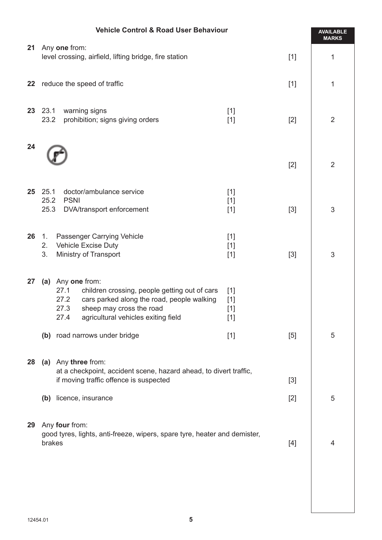|        | <b>Vehicle Control &amp; Road User Behaviour</b>                                                                                                                 |       |                |  |  |
|--------|------------------------------------------------------------------------------------------------------------------------------------------------------------------|-------|----------------|--|--|
| 21     | Any one from:                                                                                                                                                    | $[1]$ | <b>MARKS</b>   |  |  |
|        | level crossing, airfield, lifting bridge, fire station                                                                                                           | 1     |                |  |  |
| 22     | reduce the speed of traffic                                                                                                                                      | $[1]$ |                |  |  |
|        | 23 23.1<br>warning signs<br>$[1]$<br>prohibition; signs giving orders<br>23.2<br>$[1]$                                                                           | $[2]$ | $\overline{2}$ |  |  |
| 24     |                                                                                                                                                                  |       |                |  |  |
|        |                                                                                                                                                                  | $[2]$ | $\overline{2}$ |  |  |
| $25\,$ | 25.1<br>doctor/ambulance service<br>$[1]$<br>25.2<br><b>PSNI</b>                                                                                                 |       |                |  |  |
|        | $[1]$<br>25.3<br>DVA/transport enforcement<br>$[1]$                                                                                                              | $[3]$ | 3              |  |  |
| 26     | Passenger Carrying Vehicle<br>$\mathbf{1}$ .<br>$[1]$<br><b>Vehicle Excise Duty</b><br>2.<br>$[1]$                                                               |       |                |  |  |
|        | 3.<br>Ministry of Transport<br>$[1]$                                                                                                                             | $[3]$ | 3              |  |  |
| 27     | (a) Any one from:<br>27.1<br>children crossing, people getting out of cars<br>$[1]$                                                                              |       |                |  |  |
|        | 27.2<br>cars parked along the road, people walking<br>$[1]$<br>27.3<br>sheep may cross the road<br>$[1]$<br>agricultural vehicles exiting field<br>$[1]$<br>27.4 |       |                |  |  |
|        | (b) road narrows under bridge<br>$[1]$                                                                                                                           | $[5]$ | 5              |  |  |
| 28     | (a) Any three from:                                                                                                                                              |       |                |  |  |
|        | at a checkpoint, accident scene, hazard ahead, to divert traffic,<br>if moving traffic offence is suspected<br>$[3]$                                             |       |                |  |  |
|        | (b) licence, insurance                                                                                                                                           | $[2]$ | 5              |  |  |
| 29     | Any four from:                                                                                                                                                   |       |                |  |  |
|        | good tyres, lights, anti-freeze, wipers, spare tyre, heater and demister,<br>brakes<br>$[4]$                                                                     |       |                |  |  |
|        |                                                                                                                                                                  |       |                |  |  |
|        |                                                                                                                                                                  |       |                |  |  |
|        |                                                                                                                                                                  |       |                |  |  |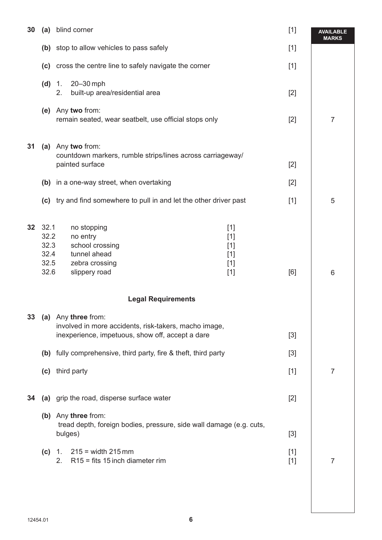| 30                        | (a)                                          | blind corner                                                                                                                                                                                        |                                                    | $[1]$          | <b>AVAILABLE</b><br><b>MARKS</b> |  |
|---------------------------|----------------------------------------------|-----------------------------------------------------------------------------------------------------------------------------------------------------------------------------------------------------|----------------------------------------------------|----------------|----------------------------------|--|
|                           |                                              | (b) stop to allow vehicles to pass safely                                                                                                                                                           |                                                    | $[1]$          |                                  |  |
|                           |                                              | (c) cross the centre line to safely navigate the corner                                                                                                                                             |                                                    | $[1]$          |                                  |  |
|                           | (d)                                          | 20-30 mph<br>1.<br>2.<br>built-up area/residential area                                                                                                                                             |                                                    | $[2]$          |                                  |  |
|                           |                                              | (e) Any two from:<br>remain seated, wear seatbelt, use official stops only                                                                                                                          |                                                    | $[2]$          | $\overline{7}$                   |  |
| 31                        |                                              | (a) Any two from:<br>countdown markers, rumble strips/lines across carriageway/<br>painted surface                                                                                                  |                                                    | $[2]$          |                                  |  |
|                           |                                              | (b) in a one-way street, when overtaking                                                                                                                                                            |                                                    | $[2]$          |                                  |  |
|                           |                                              | (c) try and find somewhere to pull in and let the other driver past                                                                                                                                 |                                                    | $[1]$          | 5                                |  |
| 32 <sub>2</sub>           | 32.1<br>32.2<br>32.3<br>32.4<br>32.5<br>32.6 | no stopping<br>no entry<br>school crossing<br>tunnel ahead<br>zebra crossing<br>slippery road                                                                                                       | $[1]$<br>$[1]$<br>$[1]$<br>$[1]$<br>$[1]$<br>$[1]$ | [6]            | 6                                |  |
| <b>Legal Requirements</b> |                                              |                                                                                                                                                                                                     |                                                    |                |                                  |  |
| 33                        |                                              | (a) Any three from:<br>involved in more accidents, risk-takers, macho image,<br>inexperience, impetuous, show off, accept a dare<br>(b) fully comprehensive, third party, fire & theft, third party |                                                    | $[3]$<br>$[3]$ |                                  |  |
|                           |                                              | (c) third party                                                                                                                                                                                     |                                                    | $[1]$          | $\overline{7}$                   |  |
| 34                        |                                              | (a) grip the road, disperse surface water<br>(b) Any three from:                                                                                                                                    |                                                    | $[2]$          |                                  |  |
|                           |                                              | tread depth, foreign bodies, pressure, side wall damage (e.g. cuts,<br>bulges)                                                                                                                      |                                                    | $[3]$          |                                  |  |
|                           | (c)                                          | $215 = width 215$ mm<br>1.<br>$R15$ = fits 15 inch diameter rim<br>2.                                                                                                                               |                                                    | $[1]$<br>$[1]$ | $\overline{7}$                   |  |
|                           |                                              |                                                                                                                                                                                                     |                                                    |                |                                  |  |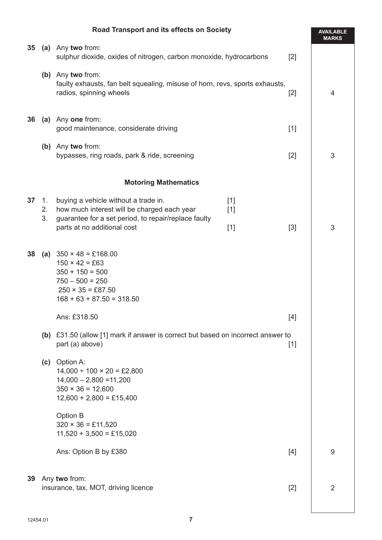|    | Road Transport and its effects on Society                                                                                            |                                                                                                                                                                                                 |                         |       |                |
|----|--------------------------------------------------------------------------------------------------------------------------------------|-------------------------------------------------------------------------------------------------------------------------------------------------------------------------------------------------|-------------------------|-------|----------------|
|    | 35 (a) Any two from:<br>sulphur dioxide, oxides of nitrogen, carbon monoxide, hydrocarbons<br>$[2]$                                  |                                                                                                                                                                                                 |                         |       | <b>MARKS</b>   |
|    | (b) Any two from:<br>faulty exhausts, fan belt squealing, misuse of horn, revs, sports exhausts,<br>radios, spinning wheels<br>$[2]$ |                                                                                                                                                                                                 |                         |       | 4              |
| 36 |                                                                                                                                      | (a) Any one from:<br>good maintenance, considerate driving                                                                                                                                      |                         | $[1]$ |                |
|    |                                                                                                                                      | (b) Any two from:<br>bypasses, ring roads, park & ride, screening                                                                                                                               |                         | $[2]$ | 3              |
|    |                                                                                                                                      | <b>Motoring Mathematics</b>                                                                                                                                                                     |                         |       |                |
| 37 | 1.<br>2.<br>3.                                                                                                                       | buying a vehicle without a trade in.<br>how much interest will be charged each year<br>guarantee for a set period, to repair/replace faulty<br>parts at no additional cost                      | $[1]$<br>$[1]$<br>$[1]$ | $[3]$ | 3              |
| 38 |                                                                                                                                      | (a) $350 \times 48 = \text{\textsterling}168.00$<br>$150 \times 42 = £63$<br>$350 + 150 = 500$<br>$750 - 500 = 250$<br>$250 \times 35 = £87.50$<br>$168 + 63 + 87.50 = 318.50$                  |                         |       |                |
|    | Ans: £318.50<br>(b) £31.50 (allow [1] mark if answer is correct but based on incorrect answer to                                     |                                                                                                                                                                                                 |                         |       |                |
|    |                                                                                                                                      | part (a) above)<br>(c) Option A:<br>$14,000 \div 100 \times 20 = \text{\pounds}2,800$<br>$14,000 - 2,800 = 11,200$<br>$350 \times 36 = 12,600$<br>$12,600 + 2,800 = \text{\textsterling}15,400$ |                         | $[1]$ |                |
|    |                                                                                                                                      | Option B<br>$320 \times 36 = \text{\pounds}11,520$<br>$11,520 + 3,500 = \text{\textsterling}15,020$                                                                                             |                         |       |                |
|    |                                                                                                                                      | Ans: Option B by £380                                                                                                                                                                           |                         | [4]   | 9              |
| 39 |                                                                                                                                      | Any two from:<br>insurance, tax, MOT, driving licence                                                                                                                                           |                         | $[2]$ | $\overline{2}$ |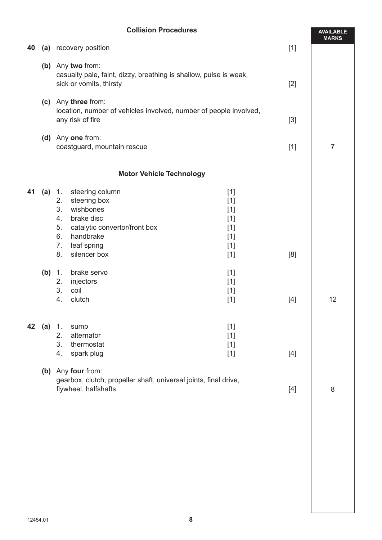# **Collision Procedures**

|    | <b>Collision Procedures</b> |                                                                                                                                                                                                                                                                               |       |                |  |
|----|-----------------------------|-------------------------------------------------------------------------------------------------------------------------------------------------------------------------------------------------------------------------------------------------------------------------------|-------|----------------|--|
| 40 |                             | (a) recovery position                                                                                                                                                                                                                                                         | $[1]$ | <b>MARKS</b>   |  |
|    |                             | (b) Any two from:<br>casualty pale, faint, dizzy, breathing is shallow, pulse is weak,<br>sick or vomits, thirsty                                                                                                                                                             | $[2]$ |                |  |
|    |                             | (c) Any three from:<br>location, number of vehicles involved, number of people involved,<br>any risk of fire                                                                                                                                                                  | $[3]$ |                |  |
|    |                             | (d) Any one from:<br>coastguard, mountain rescue                                                                                                                                                                                                                              | $[1]$ | $\overline{7}$ |  |
|    |                             | <b>Motor Vehicle Technology</b>                                                                                                                                                                                                                                               |       |                |  |
| 41 | (a)                         | steering column<br>$[1]$<br>$\overline{1}$ .<br>steering box<br>2.<br>$[1]$<br>3.<br>wishbones<br>$[1]$<br>4.<br>brake disc<br>$[1]$<br>5.<br>catalytic convertor/front box<br>$[1]$<br>handbrake<br>6.<br>$[1]$<br>7.<br>leaf spring<br>$[1]$<br>silencer box<br>8.<br>$[1]$ | [8]   |                |  |
|    | (b) 1.                      | brake servo<br>$[1]$<br>injectors<br>2.<br>$[1]$<br>3.<br>coil<br>$[1]$<br>clutch<br>4.<br>$[1]$                                                                                                                                                                              | $[4]$ | 12             |  |
|    | <b>42</b> (a) 1.            | $[1]$<br>sump<br>alternator<br>2.<br>$[1]$<br>thermostat<br>3.<br>$[1]$<br>4.<br>spark plug<br>$[1]$                                                                                                                                                                          | [4]   |                |  |
|    |                             | (b) Any four from:<br>gearbox, clutch, propeller shaft, universal joints, final drive,<br>flywheel, halfshafts                                                                                                                                                                | [4]   | 8              |  |
|    |                             |                                                                                                                                                                                                                                                                               |       |                |  |
|    |                             |                                                                                                                                                                                                                                                                               |       |                |  |
|    |                             |                                                                                                                                                                                                                                                                               |       |                |  |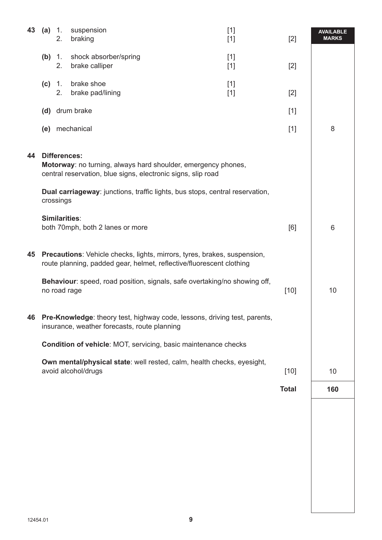| 43 | (a)                                                                                                                                                  | $\overline{1}$ .<br>2. | suspension<br>braking                                                        | $[1]$<br>$[1]$ | $[2]$        | <b>AVAILABLE</b><br><b>MARKS</b> |
|----|------------------------------------------------------------------------------------------------------------------------------------------------------|------------------------|------------------------------------------------------------------------------|----------------|--------------|----------------------------------|
|    | (b) 1.                                                                                                                                               | 2.                     | shock absorber/spring<br>brake calliper                                      | $[1]$<br>$[1]$ | $[2]$        |                                  |
|    | (c)                                                                                                                                                  | $\mathbf{1}$ .<br>2.   | brake shoe<br>brake pad/lining                                               | $[1]$<br>$[1]$ | $[2]$        |                                  |
|    |                                                                                                                                                      |                        | (d) drum brake                                                               |                | $[1]$        |                                  |
|    |                                                                                                                                                      |                        | (e) mechanical                                                               |                | $[1]$        | 8                                |
| 44 | <b>Differences:</b><br>Motorway: no turning, always hard shoulder, emergency phones,<br>central reservation, blue signs, electronic signs, slip road |                        |                                                                              |                |              |                                  |
|    |                                                                                                                                                      | crossings              | Dual carriageway: junctions, traffic lights, bus stops, central reservation, |                |              |                                  |
|    |                                                                                                                                                      | <b>Similarities:</b>   | both 70mph, both 2 lanes or more                                             |                | [6]          | 6                                |
| 45 | Precautions: Vehicle checks, lights, mirrors, tyres, brakes, suspension,<br>route planning, padded gear, helmet, reflective/fluorescent clothing     |                        |                                                                              |                |              |                                  |
|    |                                                                                                                                                      | no road rage           | Behaviour: speed, road position, signals, safe overtaking/no showing off,    |                | $[10]$       | 10                               |
| 46 | Pre-Knowledge: theory test, highway code, lessons, driving test, parents,<br>insurance, weather forecasts, route planning                            |                        |                                                                              |                |              |                                  |
|    | <b>Condition of vehicle: MOT, servicing, basic maintenance checks</b>                                                                                |                        |                                                                              |                |              |                                  |
|    | Own mental/physical state: well rested, calm, health checks, eyesight,<br>avoid alcohol/drugs                                                        | $[10]$                 | 10                                                                           |                |              |                                  |
|    |                                                                                                                                                      |                        |                                                                              |                | <b>Total</b> | 160                              |
|    |                                                                                                                                                      |                        |                                                                              |                |              |                                  |
|    |                                                                                                                                                      |                        |                                                                              |                |              |                                  |
|    |                                                                                                                                                      |                        |                                                                              |                |              |                                  |
|    |                                                                                                                                                      |                        |                                                                              |                |              |                                  |
|    |                                                                                                                                                      |                        |                                                                              |                |              |                                  |